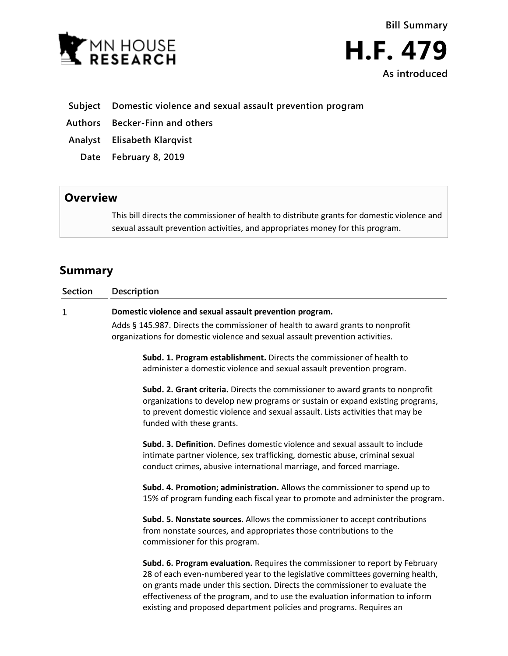

- **Subject Domestic violence and sexual assault prevention program**
- **Authors Becker-Finn and others**
- **Analyst Elisabeth Klarqvist**
	- **Date February 8, 2019**

## **Overview**

This bill directs the commissioner of health to distribute grants for domestic violence and sexual assault prevention activities, and appropriates money for this program.

## **Summary**

| <b>Section</b> | <b>Description</b>                                                                                                                                                                                                                                                            |
|----------------|-------------------------------------------------------------------------------------------------------------------------------------------------------------------------------------------------------------------------------------------------------------------------------|
| 1              | Domestic violence and sexual assault prevention program.                                                                                                                                                                                                                      |
|                | Adds § 145.987. Directs the commissioner of health to award grants to nonprofit<br>organizations for domestic violence and sexual assault prevention activities.                                                                                                              |
|                | Subd. 1. Program establishment. Directs the commissioner of health to<br>administer a domestic violence and sexual assault prevention program.                                                                                                                                |
|                | Subd. 2. Grant criteria. Directs the commissioner to award grants to nonprofit<br>organizations to develop new programs or sustain or expand existing programs,<br>to prevent domestic violence and sexual assault. Lists activities that may be<br>funded with these grants. |
|                | <b>Subd. 3. Definition.</b> Defines domestic violence and sexual assault to include<br>intimate partner violence, sex trafficking, domestic abuse, criminal sexual<br>conduct crimes, abusive international marriage, and forced marriage.                                    |
|                | Subd. 4. Promotion; administration. Allows the commissioner to spend up to<br>15% of program funding each fiscal year to promote and administer the program.                                                                                                                  |
|                | Subd. 5. Nonstate sources. Allows the commissioner to accept contributions<br>from nonstate sources, and appropriates those contributions to the<br>commissioner for this program.                                                                                            |
|                | Subd. 6. Program evaluation. Requires the commissioner to report by February<br>28 of each even-numbered year to the legislative committees governing health,<br>on grants made under this section. Directs the commissioner to evaluate the                                  |

effectiveness of the program, and to use the evaluation information to inform existing and proposed department policies and programs. Requires an